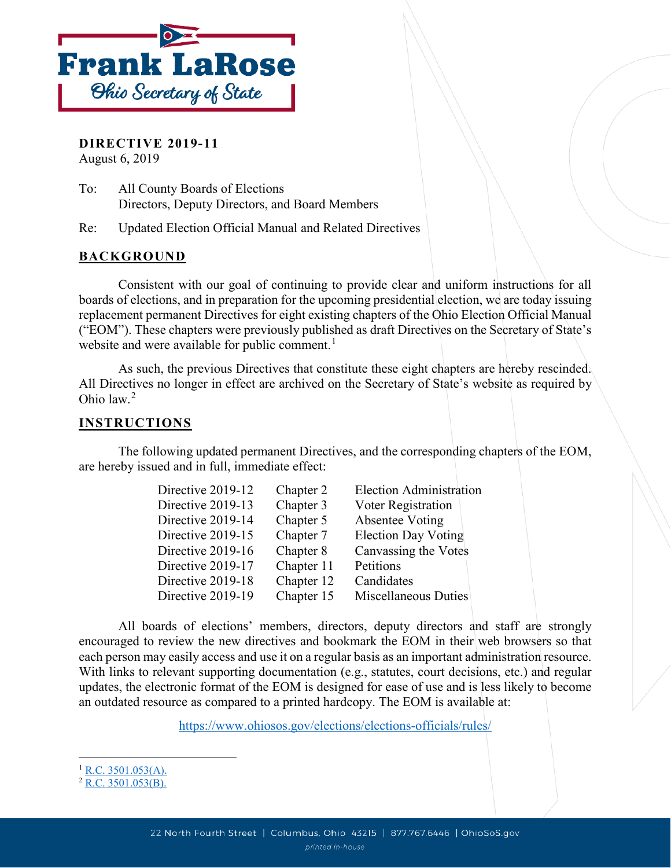

**DIRECTIVE 2019-11** August 6, 2019

To: All County Boards of Elections Directors, Deputy Directors, and Board Members

Re: Updated Election Official Manual and Related Directives

## **BACKGROUND**

Consistent with our goal of continuing to provide clear and uniform instructions for all boards of elections, and in preparation for the upcoming presidential election, we are today issuing replacement permanent Directives for eight existing chapters of the Ohio Election Official Manual ("EOM"). These chapters were previously published as draft Directives on the Secretary of State's website and were available for public comment.<sup>[1](#page-0-0)</sup>

As such, the previous Directives that constitute these eight chapters are hereby rescinded. All Directives no longer in effect are archived on the Secretary of State's website as required by Ohio law.[2](#page-0-1)

## **INSTRUCTIONS**

The following updated permanent Directives, and the corresponding chapters of the EOM, are hereby issued and in full, immediate effect:

| Directive 2019-12 | Chapter 2  | <b>Election Administration</b> |
|-------------------|------------|--------------------------------|
| Directive 2019-13 | Chapter 3  | Voter Registration             |
| Directive 2019-14 | Chapter 5  | Absentee Voting                |
| Directive 2019-15 | Chapter 7  | <b>Election Day Voting</b>     |
| Directive 2019-16 | Chapter 8  | Canvassing the Votes           |
| Directive 2019-17 | Chapter 11 | Petitions                      |
| Directive 2019-18 | Chapter 12 | Candidates                     |
| Directive 2019-19 | Chapter 15 | Miscellaneous Duties           |

All boards of elections' members, directors, deputy directors and staff are strongly encouraged to review the new directives and bookmark the EOM in their web browsers so that each person may easily access and use it on a regular basis as an important administration resource. With links to relevant supporting documentation (e.g., statutes, court decisions, etc.) and regular updates, the electronic format of the EOM is designed for ease of use and is less likely to become an outdated resource as compared to a printed hardcopy. The EOM is available at:

<https://www.ohiosos.gov/elections/elections-officials/rules/>

 $\overline{a}$ 

<span id="page-0-0"></span> $1$  [R.C. 3501.053\(A\).](http://codes.ohio.gov/orc/3501.053)

<span id="page-0-1"></span> $2$  [R.C. 3501.053\(B\).](http://codes.ohio.gov/orc/3501.053)